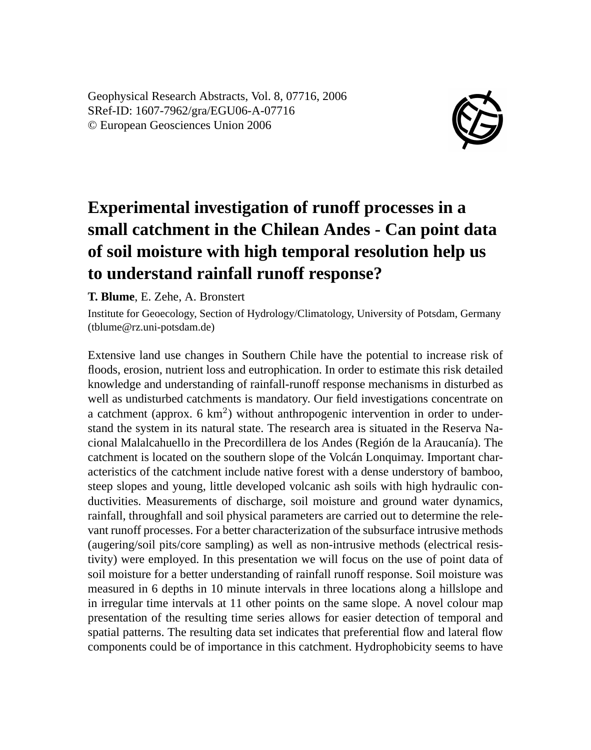Geophysical Research Abstracts, Vol. 8, 07716, 2006 SRef-ID: 1607-7962/gra/EGU06-A-07716 © European Geosciences Union 2006



## **Experimental investigation of runoff processes in a small catchment in the Chilean Andes - Can point data of soil moisture with high temporal resolution help us to understand rainfall runoff response?**

**T. Blume**, E. Zehe, A. Bronstert

Institute for Geoecology, Section of Hydrology/Climatology, University of Potsdam, Germany (tblume@rz.uni-potsdam.de)

Extensive land use changes in Southern Chile have the potential to increase risk of floods, erosion, nutrient loss and eutrophication. In order to estimate this risk detailed knowledge and understanding of rainfall-runoff response mechanisms in disturbed as well as undisturbed catchments is mandatory. Our field investigations concentrate on a catchment (approx.  $6 \text{ km}^2$ ) without anthropogenic intervention in order to understand the system in its natural state. The research area is situated in the Reserva Nacional Malalcahuello in the Precordillera de los Andes (Región de la Araucanía). The catchment is located on the southern slope of the Volcán Lonquimay. Important characteristics of the catchment include native forest with a dense understory of bamboo, steep slopes and young, little developed volcanic ash soils with high hydraulic conductivities. Measurements of discharge, soil moisture and ground water dynamics, rainfall, throughfall and soil physical parameters are carried out to determine the relevant runoff processes. For a better characterization of the subsurface intrusive methods (augering/soil pits/core sampling) as well as non-intrusive methods (electrical resistivity) were employed. In this presentation we will focus on the use of point data of soil moisture for a better understanding of rainfall runoff response. Soil moisture was measured in 6 depths in 10 minute intervals in three locations along a hillslope and in irregular time intervals at 11 other points on the same slope. A novel colour map presentation of the resulting time series allows for easier detection of temporal and spatial patterns. The resulting data set indicates that preferential flow and lateral flow components could be of importance in this catchment. Hydrophobicity seems to have